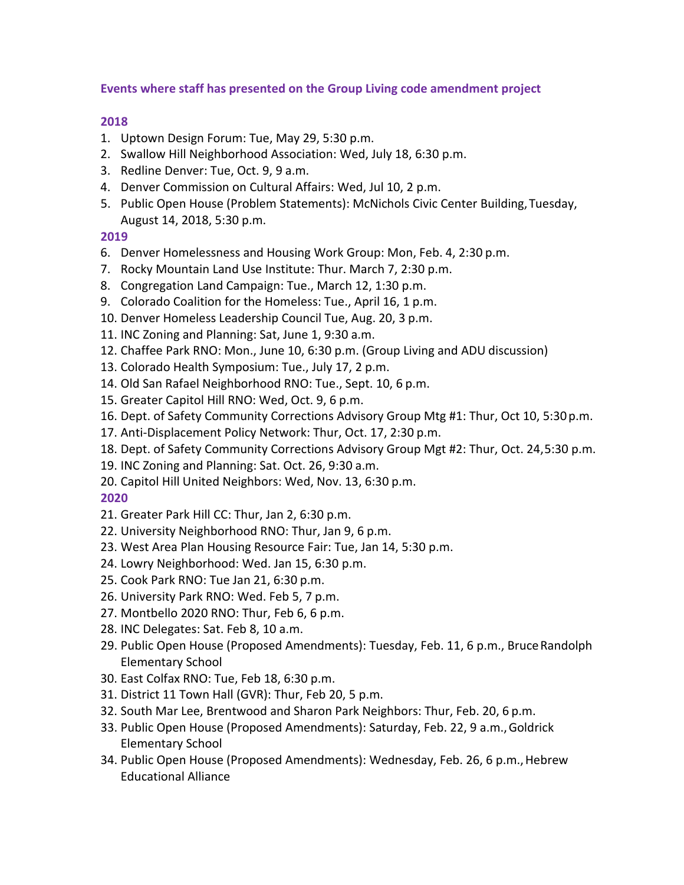## **Events where staff has presented on the Group Living code amendment project**

## **2018**

- 1. Uptown Design Forum: Tue, May 29, 5:30 p.m.
- 2. Swallow Hill Neighborhood Association: Wed, July 18, 6:30 p.m.
- 3. Redline Denver: Tue, Oct. 9, 9 a.m.
- 4. Denver Commission on Cultural Affairs: Wed, Jul 10, 2 p.m.
- 5. Public Open House (Problem Statements): McNichols Civic Center Building,Tuesday, August 14, 2018, 5:30 p.m.

## **2019**

- 6. Denver Homelessness and Housing Work Group: Mon, Feb. 4, 2:30 p.m.
- 7. Rocky Mountain Land Use Institute: Thur. March 7, 2:30 p.m.
- 8. Congregation Land Campaign: Tue., March 12, 1:30 p.m.
- 9. Colorado Coalition for the Homeless: Tue., April 16, 1 p.m.
- 10. Denver Homeless Leadership Council Tue, Aug. 20, 3 p.m.
- 11. INC Zoning and Planning: Sat, June 1, 9:30 a.m.
- 12. Chaffee Park RNO: Mon., June 10, 6:30 p.m. (Group Living and ADU discussion)
- 13. Colorado Health Symposium: Tue., July 17, 2 p.m.
- 14. Old San Rafael Neighborhood RNO: Tue., Sept. 10, 6 p.m.
- 15. Greater Capitol Hill RNO: Wed, Oct. 9, 6 p.m.
- 16. Dept. of Safety Community Corrections Advisory Group Mtg #1: Thur, Oct 10, 5:30p.m.
- 17. Anti-Displacement Policy Network: Thur, Oct. 17, 2:30 p.m.
- 18. Dept. of Safety Community Corrections Advisory Group Mgt #2: Thur, Oct. 24,5:30 p.m.
- 19. INC Zoning and Planning: Sat. Oct. 26, 9:30 a.m.
- 20. Capitol Hill United Neighbors: Wed, Nov. 13, 6:30 p.m.

## **2020**

- 21. Greater Park Hill CC: Thur, Jan 2, 6:30 p.m.
- 22. University Neighborhood RNO: Thur, Jan 9, 6 p.m.
- 23. West Area Plan Housing Resource Fair: Tue, Jan 14, 5:30 p.m.
- 24. Lowry Neighborhood: Wed. Jan 15, 6:30 p.m.
- 25. Cook Park RNO: Tue Jan 21, 6:30 p.m.
- 26. University Park RNO: Wed. Feb 5, 7 p.m.
- 27. Montbello 2020 RNO: Thur, Feb 6, 6 p.m.
- 28. INC Delegates: Sat. Feb 8, 10 a.m.
- 29. Public Open House (Proposed Amendments): Tuesday, Feb. 11, 6 p.m., BruceRandolph Elementary School
- 30. East Colfax RNO: Tue, Feb 18, 6:30 p.m.
- 31. District 11 Town Hall (GVR): Thur, Feb 20, 5 p.m.
- 32. South Mar Lee, Brentwood and Sharon Park Neighbors: Thur, Feb. 20, 6 p.m.
- 33. Public Open House (Proposed Amendments): Saturday, Feb. 22, 9 a.m.,Goldrick Elementary School
- 34. Public Open House (Proposed Amendments): Wednesday, Feb. 26, 6 p.m.,Hebrew Educational Alliance